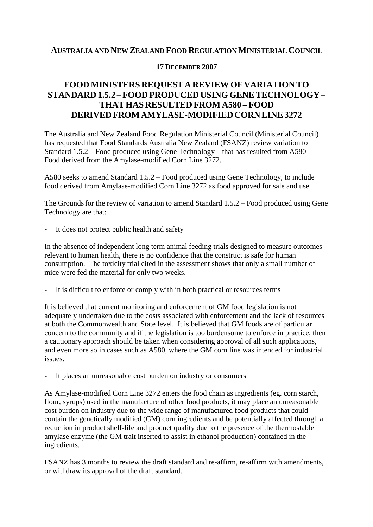## **AUSTRALIA AND NEW ZEALAND FOOD REGULATIONMINISTERIAL COUNCIL**

## **17 DECEMBER 2007**

## **FOODMINISTERS REQUEST A REVIEWOF VARIATION TO STANDARD 1.5.2 –FOOD PRODUCED USING GENETECHNOLOGY – THAT HAS RESULTED FROM A580 – FOOD DERIVEDFROMAMYLASE-MODIFIEDCORNLINE3272**

The Australia and New Zealand Food Regulation Ministerial Council (Ministerial Council) has requested that Food Standards Australia New Zealand (FSANZ) review variation to Standard 1.5.2 – Food produced using Gene Technology – that has resulted from A580 – Food derived from the Amylase-modified Corn Line 3272.

A580 seeks to amend Standard 1.5.2 – Food produced using Gene Technology, to include food derived from Amylase-modified Corn Line 3272 as food approved for sale and use.

The Grounds for the review of variation to amend Standard  $1.5.2$  – Food produced using Gene Technology are that:

It does not protect public health and safety

In the absence of independent long term animal feeding trials designed to measure outcomes relevant to human health, there is no confidence that the construct is safe for human consumption. The toxicity trial cited in the assessment shows that only a small number of mice were fed the material for only two weeks.

- It is difficult to enforce or comply with in both practical or resources terms

It is believed that current monitoring and enforcement of GM food legislation is not adequately undertaken due to the costs associated with enforcement and the lack of resources at both the Commonwealth and State level. It is believed that GM foods are of particular concern to the community and if the legislation is too burdensome to enforce in practice, then a cautionary approach should be taken when considering approval of all such applications, and even more so in cases such as A580, where the GM corn line was intended for industrial issues.

It places an unreasonable cost burden on industry or consumers

As Amylase-modified Corn Line 3272 enters the food chain as ingredients (eg. corn starch, flour, syrups) used in the manufacture of other food products, it may place an unreasonable cost burden on industry due to the wide range of manufactured food products that could contain the genetically modified (GM) corn ingredients and be potentially affected through a reduction in product shelf-life and product quality due to the presence of the thermostable amylase enzyme (the GM trait inserted to assist in ethanol production) contained in the ingredients.

FSANZ has 3 months to review the draft standard and re-affirm, re-affirm with amendments, or withdraw its approval of the draft standard.